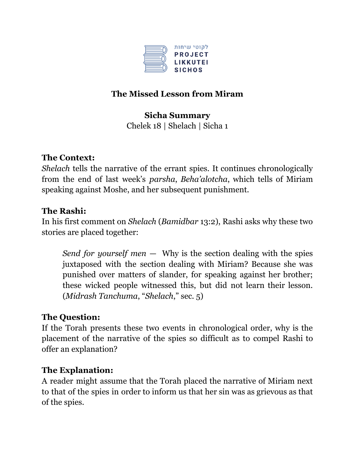

# **The Missed Lesson from Miram**

### **Sicha Summary**

Chelek 18 | Shelach | Sicha 1

## **The Context:**

*Shelach* tells the narrative of the errant spies. It continues chronologically from the end of last week's *parsha*, *Beha'alotcha*, which tells of Miriam speaking against Moshe, and her subsequent punishment.

### **The Rashi:**

In his first comment on *Shelach* (*Bamidbar* 13:2), Rashi asks why these two stories are placed together:

*Send for yourself men* — Why is the section dealing with the spies juxtaposed with the section dealing with Miriam? Because she was punished over matters of slander, for speaking against her brother; these wicked people witnessed this, but did not learn their lesson. (*Midrash Tanchuma*, "*Shelach*," sec. 5)

### **The Question:**

If the Torah presents these two events in chronological order, why is the placement of the narrative of the spies so difficult as to compel Rashi to offer an explanation?

#### **The Explanation:**

A reader might assume that the Torah placed the narrative of Miriam next to that of the spies in order to inform us that her sin was as grievous as that of the spies.